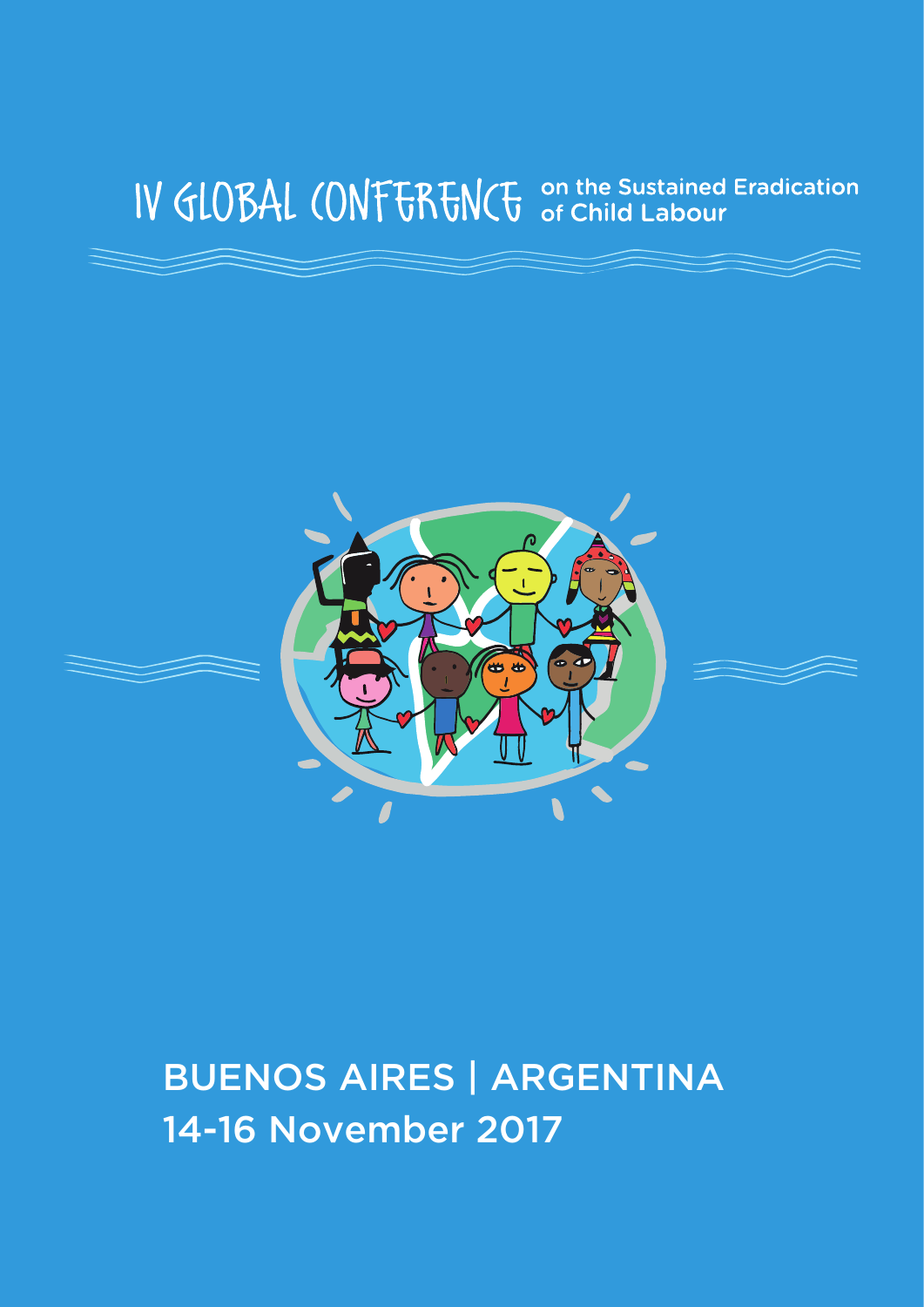# IV GLOBAL CONFERENCE on the Sustained Eradication



# BUENOS AIRES | ARGENTINA 14-16 November 2017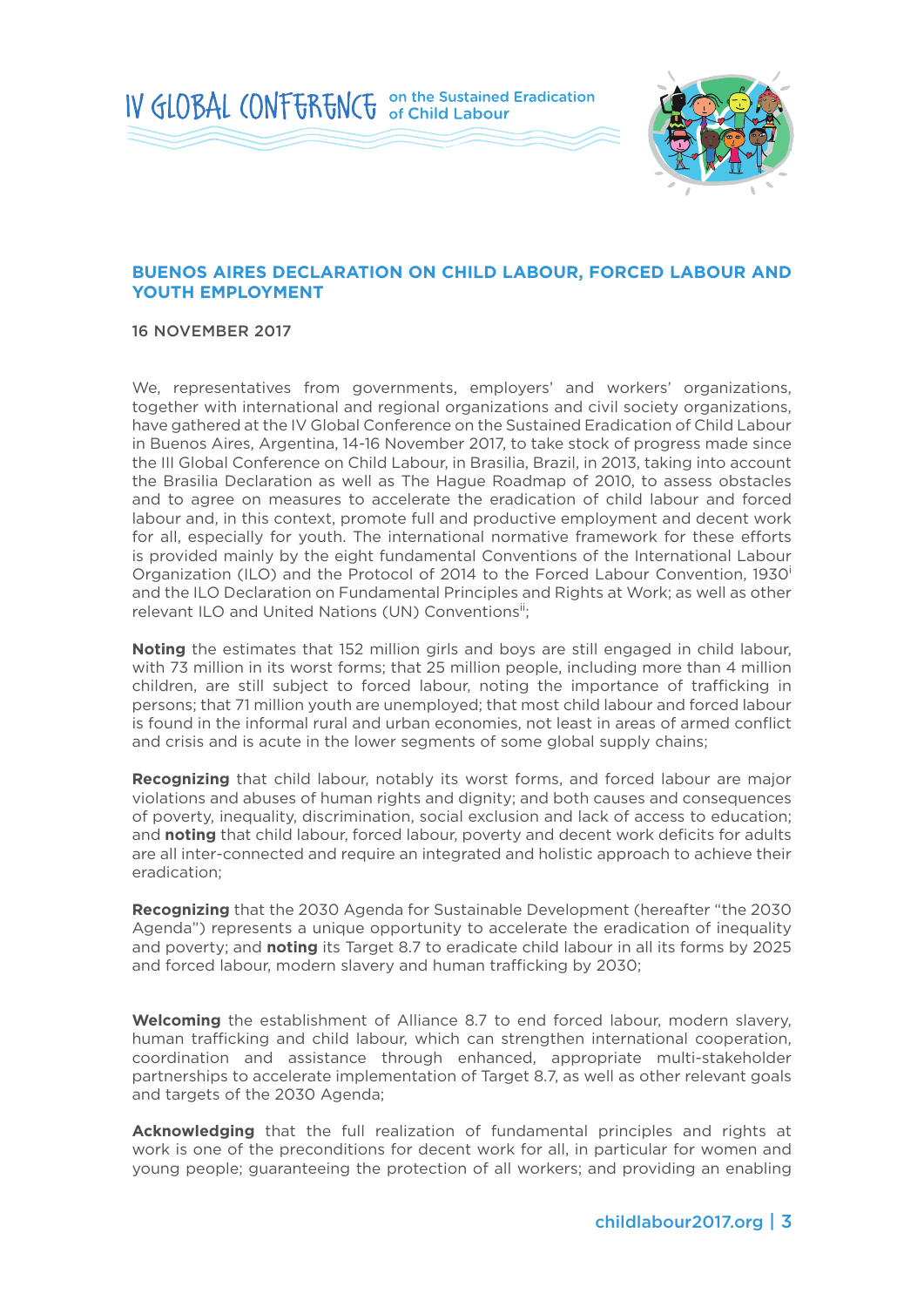IV GLOBAL (ONFERENCE on the Sustained Eradication



### **BUENOS AIRES DECLARATION ON CHILD LABOUR, FORCED LABOUR AND YOUTH EMPLOYMENT**

16 NOVEMBER 2017

We, representatives from governments, employers' and workers' organizations, together with international and regional organizations and civil society organizations, have gathered at the IV Global Conference on the Sustained Eradication of Child Labour in Buenos Aires, Argentina, 14-16 November 2017, to take stock of progress made since the III Global Conference on Child Labour, in Brasilia, Brazil, in 2013, taking into account the Brasilia Declaration as well as The Hague Roadmap of 2010, to assess obstacles and to agree on measures to accelerate the eradication of child labour and forced labour and, in this context, promote full and productive employment and decent work for all, especially for youth. The international normative framework for these efforts is provided mainly by the eight fundamental Conventions of the International Labour Organization (ILO) and the Protocol of 2014 to the Forced Labour Convention, 1930<sup>i</sup> and the ILO Declaration on Fundamental Principles and Rights at Work; as well as other relevant ILO and United Nations (UN) Conventions<sup>ii</sup>;

**Noting** the estimates that 152 million girls and boys are still engaged in child labour, with 73 million in its worst forms; that 25 million people, including more than 4 million children, are still subject to forced labour, noting the importance of trafficking in persons; that 71 million youth are unemployed; that most child labour and forced labour is found in the informal rural and urban economies, not least in areas of armed conflict and crisis and is acute in the lower segments of some global supply chains;

**Recognizing** that child labour, notably its worst forms, and forced labour are major violations and abuses of human rights and dignity; and both causes and consequences of poverty, inequality, discrimination, social exclusion and lack of access to education; and **noting** that child labour, forced labour, poverty and decent work deficits for adults are all inter-connected and require an integrated and holistic approach to achieve their eradication;

**Recognizing** that the 2030 Agenda for Sustainable Development (hereafter "the 2030 Agenda") represents a unique opportunity to accelerate the eradication of inequality and poverty; and **noting** its Target 8.7 to eradicate child labour in all its forms by 2025 and forced labour, modern slavery and human trafficking by 2030;

**Welcoming** the establishment of Alliance 8.7 to end forced labour, modern slavery, human trafficking and child labour, which can strengthen international cooperation, coordination and assistance through enhanced, appropriate multi-stakeholder partnerships to accelerate implementation of Target 8.7, as well as other relevant goals and targets of the 2030 Agenda;

**Acknowledging** that the full realization of fundamental principles and rights at work is one of the preconditions for decent work for all, in particular for women and young people; guaranteeing the protection of all workers; and providing an enabling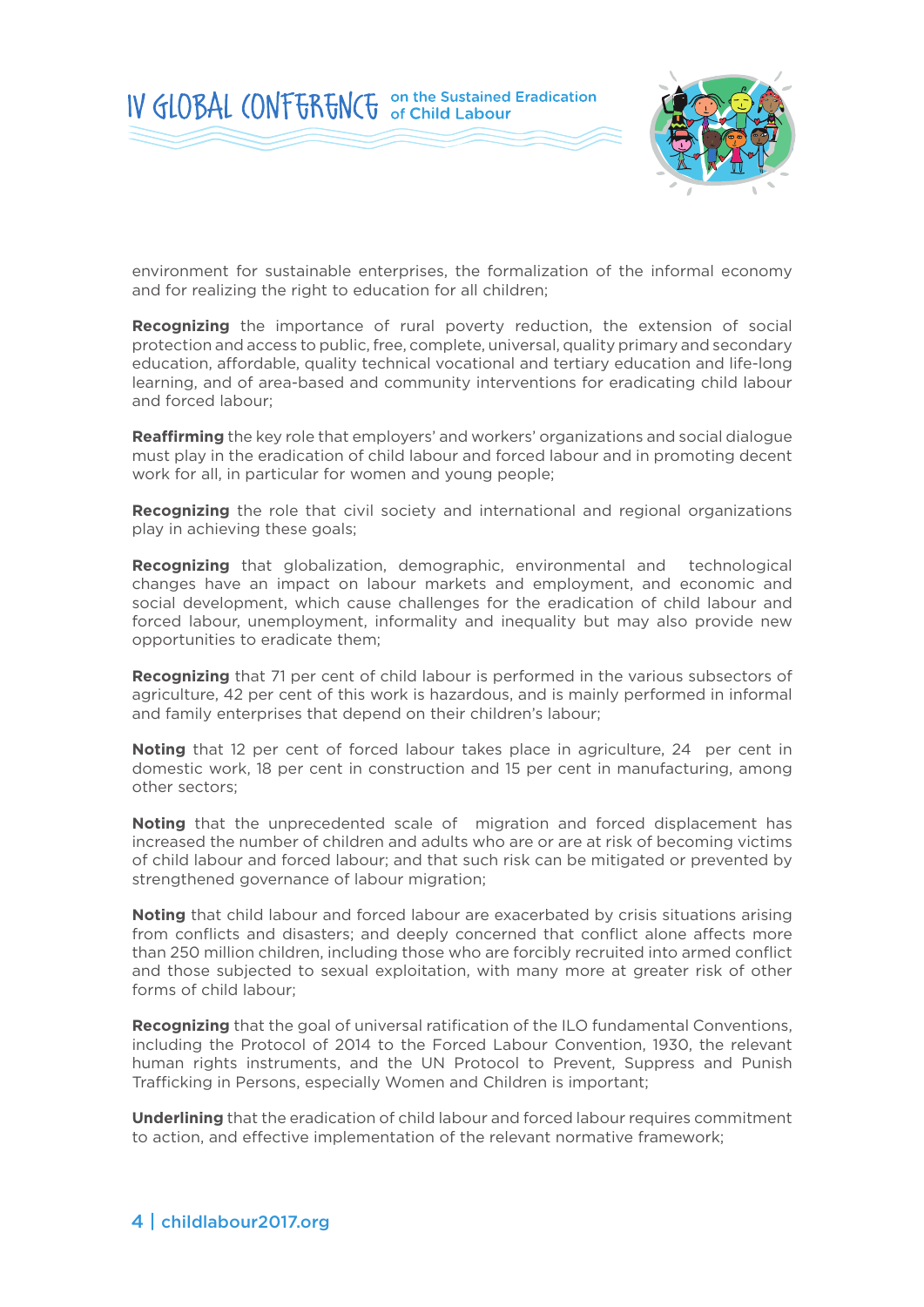



environment for sustainable enterprises, the formalization of the informal economy and for realizing the right to education for all children;

**Recognizing** the importance of rural poverty reduction, the extension of social protection and access to public, free, complete, universal, quality primary and secondary education, affordable, quality technical vocational and tertiary education and life-long learning, and of area-based and community interventions for eradicating child labour and forced labour;

**Reaffirming** the key role that employers' and workers' organizations and social dialogue must play in the eradication of child labour and forced labour and in promoting decent work for all, in particular for women and young people;

**Recognizing** the role that civil society and international and regional organizations play in achieving these goals;

**Recognizing** that globalization, demographic, environmental and technological changes have an impact on labour markets and employment, and economic and social development, which cause challenges for the eradication of child labour and forced labour, unemployment, informality and inequality but may also provide new opportunities to eradicate them;

**Recognizing** that 71 per cent of child labour is performed in the various subsectors of agriculture, 42 per cent of this work is hazardous, and is mainly performed in informal and family enterprises that depend on their children's labour;

**Noting** that 12 per cent of forced labour takes place in agriculture, 24 per cent in domestic work, 18 per cent in construction and 15 per cent in manufacturing, among other sectors;

**Noting** that the unprecedented scale of migration and forced displacement has increased the number of children and adults who are or are at risk of becoming victims of child labour and forced labour; and that such risk can be mitigated or prevented by strengthened governance of labour migration;

**Noting** that child labour and forced labour are exacerbated by crisis situations arising from conflicts and disasters; and deeply concerned that conflict alone affects more than 250 million children, including those who are forcibly recruited into armed conflict and those subjected to sexual exploitation, with many more at greater risk of other forms of child labour;

**Recognizing** that the goal of universal ratification of the ILO fundamental Conventions, including the Protocol of 2014 to the Forced Labour Convention, 1930, the relevant human rights instruments, and the UN Protocol to Prevent, Suppress and Punish Trafficking in Persons, especially Women and Children is important;

**Underlining** that the eradication of child labour and forced labour requires commitment to action, and effective implementation of the relevant normative framework;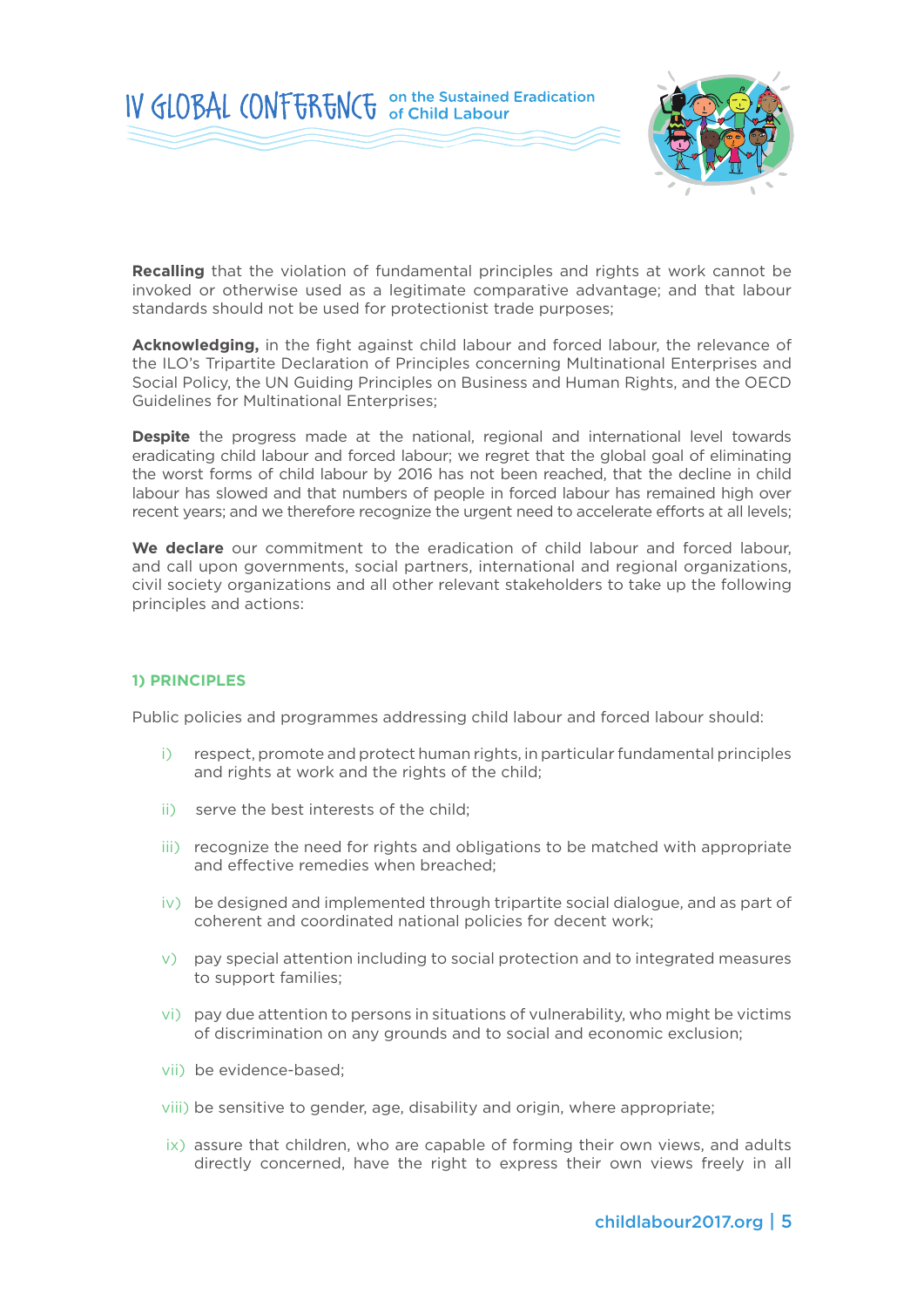



**Recalling** that the violation of fundamental principles and rights at work cannot be invoked or otherwise used as a legitimate comparative advantage; and that labour standards should not be used for protectionist trade purposes;

**Acknowledging,** in the fight against child labour and forced labour, the relevance of the ILO's Tripartite Declaration of Principles concerning Multinational Enterprises and Social Policy, the UN Guiding Principles on Business and Human Rights, and the OECD Guidelines for Multinational Enterprises;

**Despite** the progress made at the national, regional and international level towards eradicating child labour and forced labour; we regret that the global goal of eliminating the worst forms of child labour by 2016 has not been reached, that the decline in child labour has slowed and that numbers of people in forced labour has remained high over recent years; and we therefore recognize the urgent need to accelerate efforts at all levels;

**We declare** our commitment to the eradication of child labour and forced labour, and call upon governments, social partners, international and regional organizations, civil society organizations and all other relevant stakeholders to take up the following principles and actions:

#### **1) PRINCIPLES**

Public policies and programmes addressing child labour and forced labour should:

- i) respect, promote and protect human rights, in particular fundamental principles and rights at work and the rights of the child;
- ii) serve the best interests of the child;
- iii) recognize the need for rights and obligations to be matched with appropriate and effective remedies when breached;
- iv) be designed and implemented through tripartite social dialogue, and as part of coherent and coordinated national policies for decent work;
- v) pay special attention including to social protection and to integrated measures to support families;
- vi) pay due attention to persons in situations of vulnerability, who might be victims of discrimination on any grounds and to social and economic exclusion;
- vii) be evidence-based;
- viii) be sensitive to gender, age, disability and origin, where appropriate;
- ix) assure that children, who are capable of forming their own views, and adults directly concerned, have the right to express their own views freely in all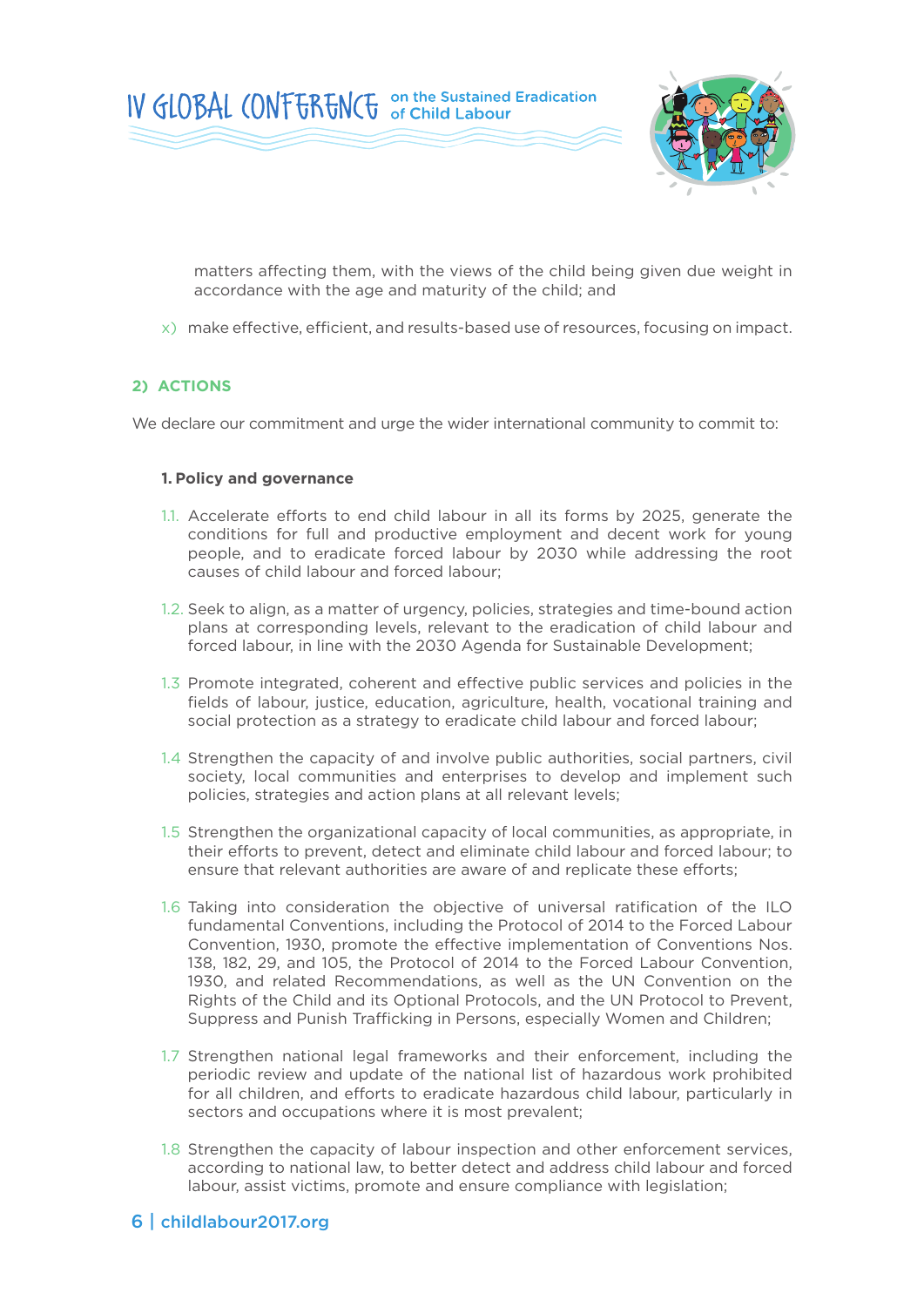

matters affecting them, with the views of the child being given due weight in accordance with the age and maturity of the child; and

x) make effective, efficient, and results-based use of resources, focusing on impact.

#### **2) ACTIONS**

We declare our commitment and urge the wider international community to commit to:

#### **1. Policy and governance**

- 1.1. Accelerate efforts to end child labour in all its forms by 2025, generate the conditions for full and productive employment and decent work for young people, and to eradicate forced labour by 2030 while addressing the root causes of child labour and forced labour;
- 1.2. Seek to align, as a matter of urgency, policies, strategies and time-bound action plans at corresponding levels, relevant to the eradication of child labour and forced labour, in line with the 2030 Agenda for Sustainable Development;
- 1.3 Promote integrated, coherent and effective public services and policies in the fields of labour, justice, education, agriculture, health, vocational training and social protection as a strategy to eradicate child labour and forced labour;
- 1.4 Strengthen the capacity of and involve public authorities, social partners, civil society, local communities and enterprises to develop and implement such policies, strategies and action plans at all relevant levels;
- 1.5 Strengthen the organizational capacity of local communities, as appropriate, in their efforts to prevent, detect and eliminate child labour and forced labour; to ensure that relevant authorities are aware of and replicate these efforts;
- 1.6 Taking into consideration the objective of universal ratification of the ILO fundamental Conventions, including the Protocol of 2014 to the Forced Labour Convention, 1930, promote the effective implementation of Conventions Nos. 138, 182, 29, and 105, the Protocol of 2014 to the Forced Labour Convention, 1930, and related Recommendations, as well as the UN Convention on the Rights of the Child and its Optional Protocols, and the UN Protocol to Prevent, Suppress and Punish Trafficking in Persons, especially Women and Children;
- 1.7 Strengthen national legal frameworks and their enforcement, including the periodic review and update of the national list of hazardous work prohibited for all children, and efforts to eradicate hazardous child labour, particularly in sectors and occupations where it is most prevalent;
- 1.8 Strengthen the capacity of labour inspection and other enforcement services, according to national law, to better detect and address child labour and forced labour, assist victims, promote and ensure compliance with legislation;

## 6 | childlabour2017.org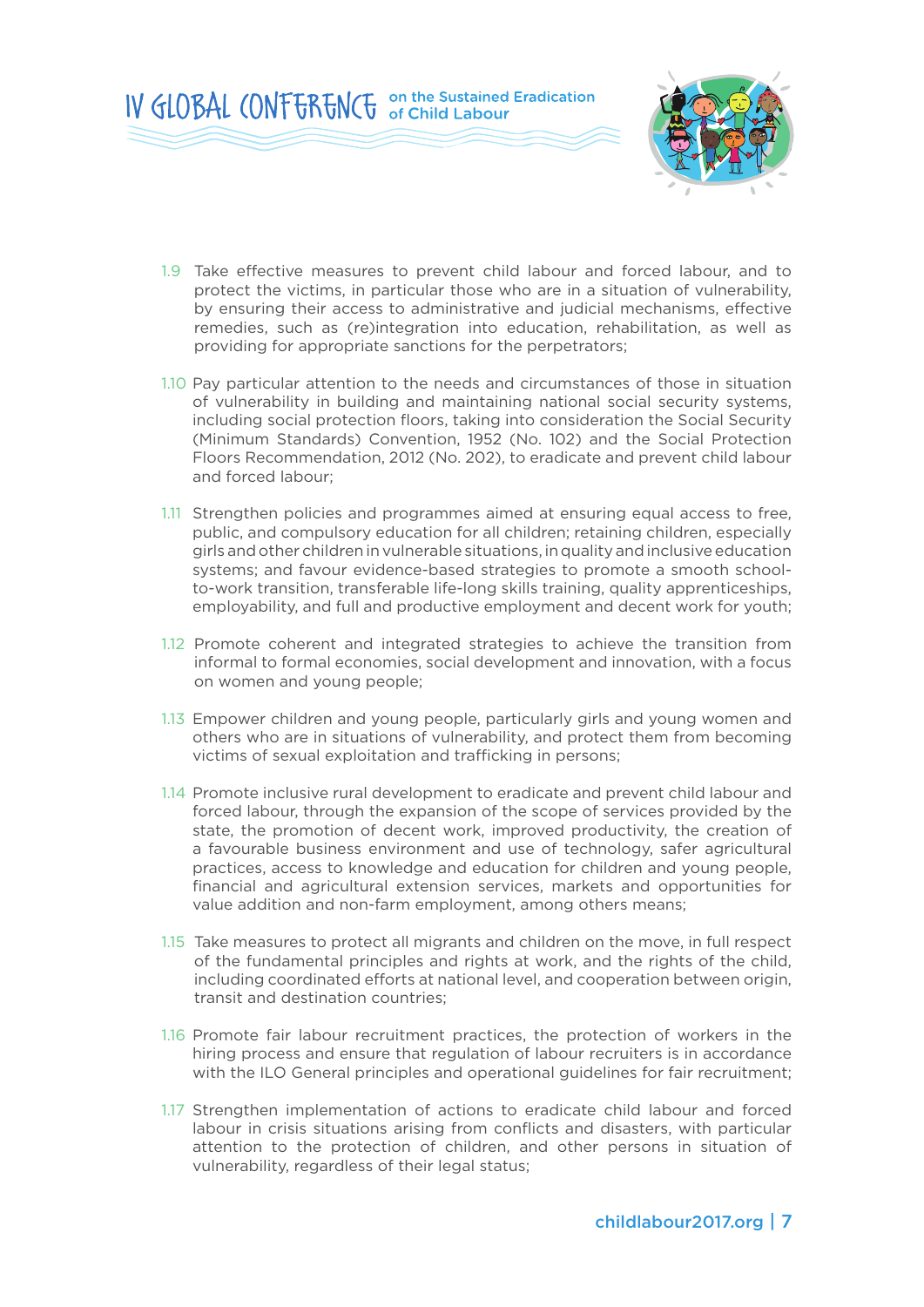

- 1.9 Take effective measures to prevent child labour and forced labour, and to protect the victims, in particular those who are in a situation of vulnerability, by ensuring their access to administrative and judicial mechanisms, effective remedies, such as (re)integration into education, rehabilitation, as well as providing for appropriate sanctions for the perpetrators;
- 1.10 Pay particular attention to the needs and circumstances of those in situation of vulnerability in building and maintaining national social security systems, including social protection floors, taking into consideration the Social Security (Minimum Standards) Convention, 1952 (No. 102) and the Social Protection Floors Recommendation, 2012 (No. 202), to eradicate and prevent child labour and forced labour;
- 1.11 Strengthen policies and programmes aimed at ensuring equal access to free, public, and compulsory education for all children; retaining children, especially girls and other children in vulnerable situations, in quality and inclusive education systems; and favour evidence-based strategies to promote a smooth schoolto-work transition, transferable life-long skills training, quality apprenticeships, employability, and full and productive employment and decent work for youth;
- 1.12 Promote coherent and integrated strategies to achieve the transition from informal to formal economies, social development and innovation, with a focus on women and young people;
- 1.13 Empower children and young people, particularly girls and young women and others who are in situations of vulnerability, and protect them from becoming victims of sexual exploitation and trafficking in persons;
- 1.14 Promote inclusive rural development to eradicate and prevent child labour and forced labour, through the expansion of the scope of services provided by the state, the promotion of decent work, improved productivity, the creation of a favourable business environment and use of technology, safer agricultural practices, access to knowledge and education for children and young people, financial and agricultural extension services, markets and opportunities for value addition and non-farm employment, among others means;
- 1.15 Take measures to protect all migrants and children on the move, in full respect of the fundamental principles and rights at work, and the rights of the child, including coordinated efforts at national level, and cooperation between origin, transit and destination countries;
- 1.16 Promote fair labour recruitment practices, the protection of workers in the hiring process and ensure that regulation of labour recruiters is in accordance with the ILO General principles and operational guidelines for fair recruitment;
- 1.17 Strengthen implementation of actions to eradicate child labour and forced labour in crisis situations arising from conflicts and disasters, with particular attention to the protection of children, and other persons in situation of vulnerability, regardless of their legal status;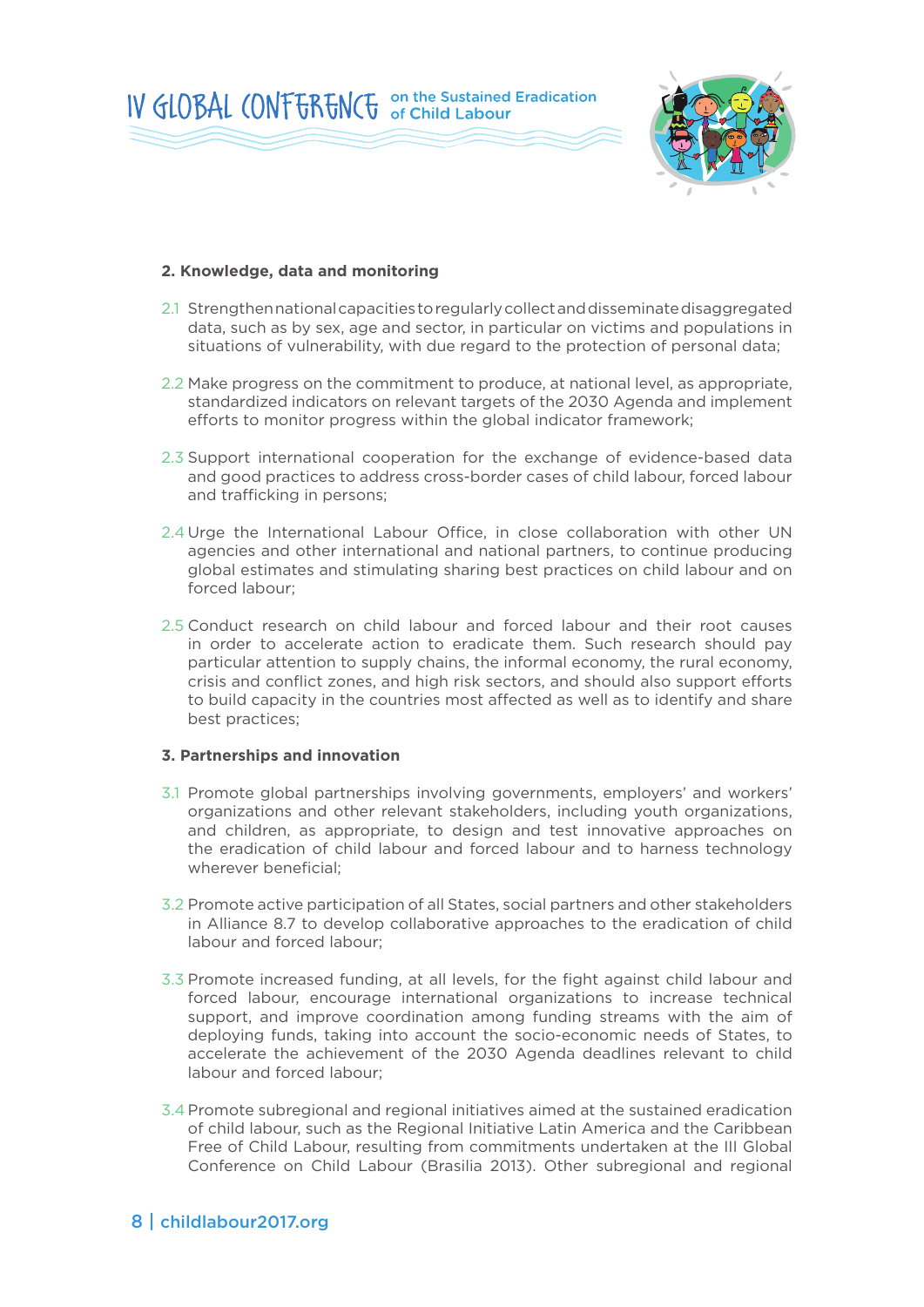



#### **2. Knowledge, data and monitoring**

- 2.1 Strengthen national capacities to regularly collect and disseminate disaggregated data, such as by sex, age and sector, in particular on victims and populations in situations of vulnerability, with due regard to the protection of personal data;
- 2.2 Make progress on the commitment to produce, at national level, as appropriate, standardized indicators on relevant targets of the 2030 Agenda and implement efforts to monitor progress within the global indicator framework;
- 2.3 Support international cooperation for the exchange of evidence-based data and good practices to address cross-border cases of child labour, forced labour and trafficking in persons;
- 2.4 Urge the International Labour Office, in close collaboration with other UN agencies and other international and national partners, to continue producing global estimates and stimulating sharing best practices on child labour and on forced labour;
- 2.5 Conduct research on child labour and forced labour and their root causes in order to accelerate action to eradicate them. Such research should pay particular attention to supply chains, the informal economy, the rural economy, crisis and conflict zones, and high risk sectors, and should also support efforts to build capacity in the countries most affected as well as to identify and share best practices;

#### **3. Partnerships and innovation**

- 3.1 Promote global partnerships involving governments, employers' and workers' organizations and other relevant stakeholders, including youth organizations, and children, as appropriate, to design and test innovative approaches on the eradication of child labour and forced labour and to harness technology wherever beneficial;
- 3.2 Promote active participation of all States, social partners and other stakeholders in Alliance 8.7 to develop collaborative approaches to the eradication of child labour and forced labour;
- 3.3 Promote increased funding, at all levels, for the fight against child labour and forced labour, encourage international organizations to increase technical support, and improve coordination among funding streams with the aim of deploying funds, taking into account the socio-economic needs of States, to accelerate the achievement of the 2030 Agenda deadlines relevant to child labour and forced labour;
- 3.4 Promote subregional and regional initiatives aimed at the sustained eradication of child labour, such as the Regional Initiative Latin America and the Caribbean Free of Child Labour, resulting from commitments undertaken at the III Global Conference on Child Labour (Brasilia 2013). Other subregional and regional